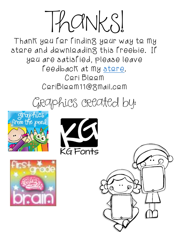Thanks!

Thank you for finding your way to my store and downloading this freebie. If you are satisfied, please leave feedback at my <u>store</u>. Cori Bloom CoriBloom11@gmail.com

## Graphics created by:







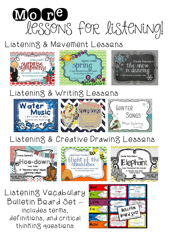

## Listening & Movement Lessons



## Listening & Writing Lessons



## Listening & Creative Drawing Lessons







Listening Vocabulary Bulletin Board Set – includes terms, definitions, and critical thinking questions

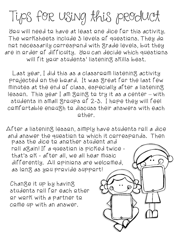Tips for using this product

You will need to have at least one dice for this activity. The worksheets include 3 levels of questions. They do not necessarily correspond with grade levels, but they are in order of difficulty. You can decide which questions will fit your students' listening skills best.

Last year, I did this as a classroom listening activity projected on the board. It was great for the last few minutes at the end  $\epsilon$  class, especially after a listening lesson. This year I am going to try it as a center – with students in small groups of 2-3. I hope they will feel comfortable enough to discuss their answers with each other.

After a listening lesson, simply have students roll a dice and answer the question to which it corresponds. Then

pass the dice to another student and roll again! If a question is picked twice that's  $\triangle$   $K$  - after all, we all hear music differently. All opinions are welcomed, as long as you provide support!

Change it up by having students roll for each other  $or$  work with a partner to come up with an answer.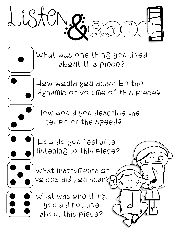

What was one thing you liked about this piece?



How would you describe the dynamic or volume of this piece?

**for the contract of the contract of the contract of the contract of the contract of the contract of the contract of the contract of the contract of the contract of the contract of the contract of the contract of the contr** 



How would you describe the tempo or the speed?



How do you feel after listening to this piece?



What instruments or voices did you hear?

What was one thing you did not like about this piece?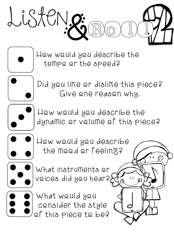

How would you describe the tempo or the speed?



Did you like or dislike this piece? Give one reason why.



How would you describe the dynamic or volume of this piece?

 $\int$ 



How would you describe the mood or feeling?



What instruments or voices did you hear?

What would you consider the style of this piece to be?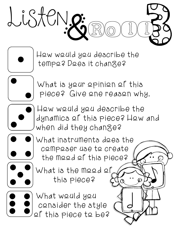

How would you describe the tempo? Does it change?



What is your opinion of this piece? Give one reason why.





 $\int$ 



What instruments does the composer use to create the mood of this piece?

What is the mood of this piece?

What would you consider the style of this piece to be?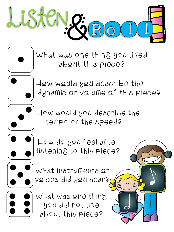

What was one thing you liked about this piece?



How would you describe the dynamic or volume of this piece?

J



How would you describe the tempo or the speed?



How do you feel after listening to this piece?



What instruments or voices did you hear?

What was one thing you did not like about this piece?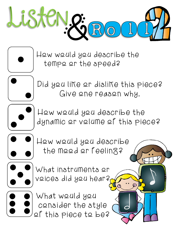

How would you describe the tempo or the speed?



Did you like or dislike this piece? Give one reason why.



How would you describe the dynamic or volume of this piece?

J



How would you describe the mood or feeling?



What instruments or voices did you hear?

What would you consider the style of this piece to be?